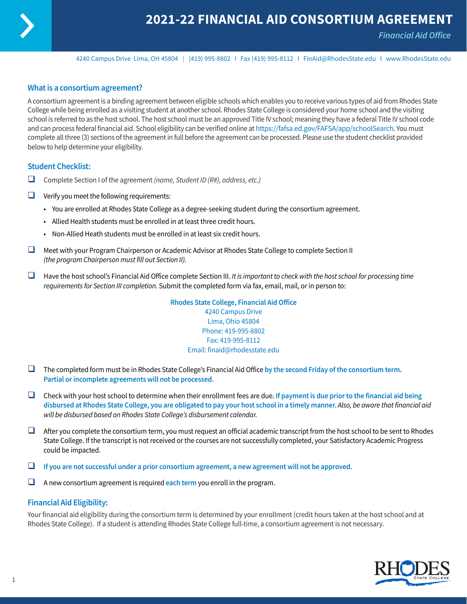

*Financial Aid Office*

4240 Campus Drive Lima, OH 45804 I (419) 995-8802 I Fax (419) 995-8112 I FinAid@RhodesState.edu I www.RhodesState.edu

### **What is a consortium agreement?**

A consortium agreement is a binding agreement between eligible schools which enables you to receive various types of aid from Rhodes State College while being enrolled as a visiting student at another school. Rhodes State College is considered your home school and the visiting school is referred to as the host school. The host school must be an approved Title IV school; meaning they have a federal Title IV school code and can process federal financial aid. School eligibility can be verified online at<https://fafsa.ed.gov/FAFSA/app/schoolSearch>. You must complete all three (3) sections of the agreement in full before the agreement can be processed. Please use the student checklist provided below to help determine your eligibility.

### **Student Checklist:**

- □ Complete Section I of the agreement *(name, Student ID (R#), address, etc.)*
- $\Box$  Verify you meet the following requirements:
	- You are enrolled at Rhodes State College as a degree-seeking student during the consortium agreement.
	- Allied Health students must be enrolled in at least three credit hours.
	- Non-Allied Heath students must be enrolled in at least six credit hours.
- $\Box$  Meet with your Program Chairperson or Academic Advisor at Rhodes State College to complete Section II *(the program Chairperson must fill out Section II).*
- □ Have the host school's Financial Aid Office complete Section III. *It is important to check with the host school for processing time requirements for Section III completion.* Submit the completed form via fax, email, mail, or in person to:

**Rhodes State College, Financial Aid Office** 4240 Campus Drive Lima, Ohio 45804 Phone: 419-995-8802 Fax: 419-995-8112 Email: finaid@rhodesstate.edu

- □ The completed form must be in Rhodes State College's Financial Aid Office by the second Friday of the consortium term. **Partial or incomplete agreements will not be processed.**
- □ Check with your host school to determine when their enrollment fees are due. If payment is due prior to the financial aid being **disbursed at Rhodes State College, you are obligated to pay your host school in a timely manner.** *Also, be aware that financial aid will be disbursed based on Rhodes State College's disbursement calendar.*
- $\Box$  After you complete the consortium term, you must request an official academic transcript from the host school to be sent to Rhodes State College. If the transcript is not received or the courses are not successfully completed, your Satisfactory Academic Progress could be impacted.
- $\Box$  If you are not successful under a prior consortium agreement, a new agreement will not be approved.
- $\Box$  A new consortium agreement is required each term you enroll in the program.

#### **Financial Aid Eligibility:**

Your financial aid eligibility during the consortium term is determined by your enrollment (credit hours taken at the host school and at Rhodes State College). If a student is attending Rhodes State College full-time, a consortium agreement is not necessary.

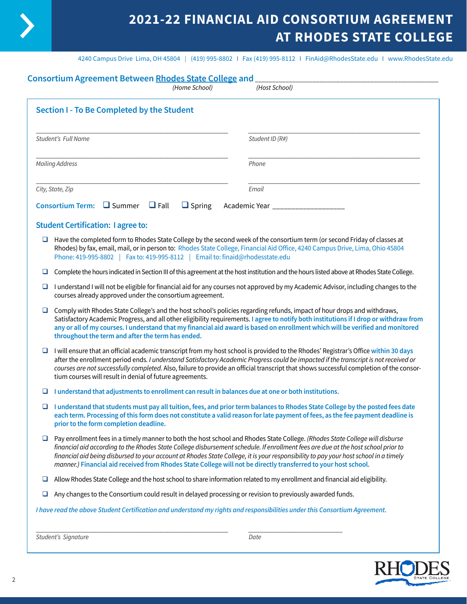

# **2021-22 FINANCIAL AID CONSORTIUM AGREEMENT AT RHODES STATE COLLEGE**

4240 Campus Drive Lima, OH 45804 I (419) 995-8802 I Fax (419) 995-8112 I FinAid@RhodesState.edu I www.RhodesState.edu

|        | (Home School)                                                                                                                                                                                                                                                                                                                                                                                                                                                                                                                | (Host School)                                                                                                                                                                                                                                              |  |  |  |  |  |
|--------|------------------------------------------------------------------------------------------------------------------------------------------------------------------------------------------------------------------------------------------------------------------------------------------------------------------------------------------------------------------------------------------------------------------------------------------------------------------------------------------------------------------------------|------------------------------------------------------------------------------------------------------------------------------------------------------------------------------------------------------------------------------------------------------------|--|--|--|--|--|
|        | Section I - To Be Completed by the Student                                                                                                                                                                                                                                                                                                                                                                                                                                                                                   |                                                                                                                                                                                                                                                            |  |  |  |  |  |
|        | Student's Full Name                                                                                                                                                                                                                                                                                                                                                                                                                                                                                                          | Student ID (R#)                                                                                                                                                                                                                                            |  |  |  |  |  |
|        | <b>Mailing Address</b>                                                                                                                                                                                                                                                                                                                                                                                                                                                                                                       | Phone                                                                                                                                                                                                                                                      |  |  |  |  |  |
|        | City, State, Zip                                                                                                                                                                                                                                                                                                                                                                                                                                                                                                             | Email                                                                                                                                                                                                                                                      |  |  |  |  |  |
|        | Consortium Term: $\Box$ Summer $\Box$ Fall<br>$\Box$ Spring                                                                                                                                                                                                                                                                                                                                                                                                                                                                  | Academic Year ____________                                                                                                                                                                                                                                 |  |  |  |  |  |
|        | <b>Student Certification: I agree to:</b>                                                                                                                                                                                                                                                                                                                                                                                                                                                                                    |                                                                                                                                                                                                                                                            |  |  |  |  |  |
| ⊔      | Phone: 419-995-8802   Fax to: 419-995-8112   Email to: finaid@rhodesstate.edu                                                                                                                                                                                                                                                                                                                                                                                                                                                | Have the completed form to Rhodes State College by the second week of the consortium term (or second Friday of classes at<br>Rhodes) by fax, email, mail, or in person to: Rhodes State College, Financial Aid Office, 4240 Campus Drive, Lima, Ohio 45804 |  |  |  |  |  |
| u.     | Complete the hours indicated in Section III of this agreement at the host institution and the hours listed above at Rhodes State College.                                                                                                                                                                                                                                                                                                                                                                                    |                                                                                                                                                                                                                                                            |  |  |  |  |  |
| $\Box$ | I understand I will not be eligible for financial aid for any courses not approved by my Academic Advisor, including changes to the<br>courses already approved under the consortium agreement.                                                                                                                                                                                                                                                                                                                              |                                                                                                                                                                                                                                                            |  |  |  |  |  |
| $\Box$ | Comply with Rhodes State College's and the host school's policies regarding refunds, impact of hour drops and withdraws,<br>Satisfactory Academic Progress, and all other eligibility requirements. I agree to notify both institutions if I drop or withdraw from<br>any or all of my courses. I understand that my financial aid award is based on enrollment which will be verified and monitored<br>throughout the term and after the term has ended.                                                                    |                                                                                                                                                                                                                                                            |  |  |  |  |  |
| ⊔      | I will ensure that an official academic transcript from my host school is provided to the Rhodes' Registrar's Office within 30 days<br>after the enrollment period ends. I understand Satisfactory Academic Progress could be impacted if the transcript is not received or<br>courses are not successfully completed. Also, failure to provide an official transcript that shows successful completion of the consor-<br>tium courses will result in denial of future agreements.                                           |                                                                                                                                                                                                                                                            |  |  |  |  |  |
| u      | I understand that adjustments to enrollment can result in balances due at one or both institutions.                                                                                                                                                                                                                                                                                                                                                                                                                          |                                                                                                                                                                                                                                                            |  |  |  |  |  |
|        | □ I understand that students must pay all tuition, fees, and prior term balances to Rhodes State College by the posted fees date<br>each term. Processing of this form does not constitute a valid reason for late payment of fees, as the fee payment deadline is<br>prior to the form completion deadline.                                                                                                                                                                                                                 |                                                                                                                                                                                                                                                            |  |  |  |  |  |
| $\Box$ | Pay enrollment fees in a timely manner to both the host school and Rhodes State College. (Rhodes State College will disburse<br>financial aid according to the Rhodes State College disbursement schedule. If enrollment fees are due at the host school prior to<br>financial aid being disbursed to your account at Rhodes State College, it is your responsibility to pay your host school in a timely<br>manner.) Financial aid received from Rhodes State College will not be directly transferred to your host school. |                                                                                                                                                                                                                                                            |  |  |  |  |  |
| □      | Allow Rhodes State College and the host school to share information related to my enrollment and financial aid eligibility.                                                                                                                                                                                                                                                                                                                                                                                                  |                                                                                                                                                                                                                                                            |  |  |  |  |  |
| $\Box$ | Any changes to the Consortium could result in delayed processing or revision to previously awarded funds.                                                                                                                                                                                                                                                                                                                                                                                                                    |                                                                                                                                                                                                                                                            |  |  |  |  |  |
|        |                                                                                                                                                                                                                                                                                                                                                                                                                                                                                                                              |                                                                                                                                                                                                                                                            |  |  |  |  |  |
|        | I have read the above Student Certification and understand my rights and responsibilities under this Consortium Agreement.                                                                                                                                                                                                                                                                                                                                                                                                   |                                                                                                                                                                                                                                                            |  |  |  |  |  |